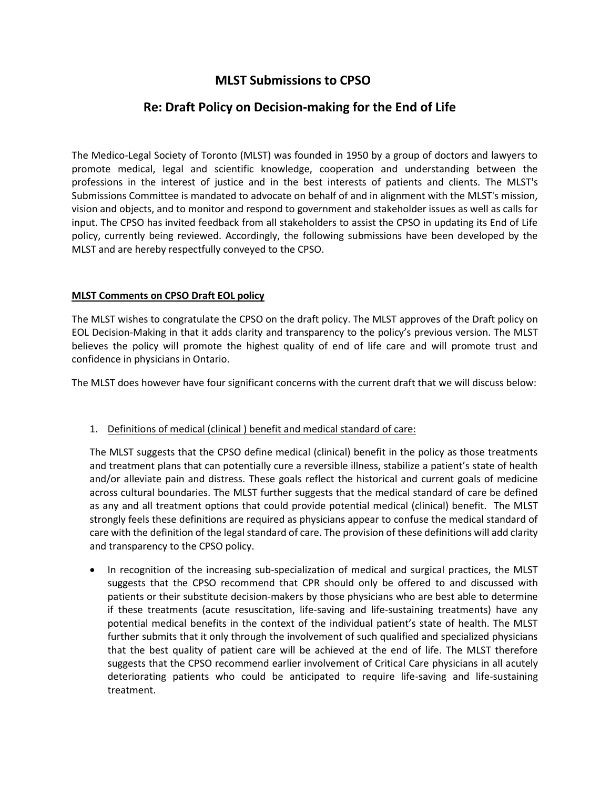# **MLST Submissions to CPSO**

# **Re: Draft Policy on Decision-making for the End of Life**

The Medico-Legal Society of Toronto (MLST) was founded in 1950 by a group of doctors and lawyers to promote medical, legal and scientific knowledge, cooperation and understanding between the professions in the interest of justice and in the best interests of patients and clients. The MLST's Submissions Committee is mandated to advocate on behalf of and in alignment with the MLST's mission, vision and objects, and to monitor and respond to government and stakeholder issues as well as calls for input. The CPSO has invited feedback from all stakeholders to assist the CPSO in updating its End of Life policy, currently being reviewed. Accordingly, the following submissions have been developed by the MLST and are hereby respectfully conveyed to the CPSO.

#### **MLST Comments on CPSO Draft EOL policy**

The MLST wishes to congratulate the CPSO on the draft policy. The MLST approves of the Draft policy on EOL Decision-Making in that it adds clarity and transparency to the policy's previous version. The MLST believes the policy will promote the highest quality of end of life care and will promote trust and confidence in physicians in Ontario.

The MLST does however have four significant concerns with the current draft that we will discuss below:

#### 1. Definitions of medical (clinical ) benefit and medical standard of care:

The MLST suggests that the CPSO define medical (clinical) benefit in the policy as those treatments and treatment plans that can potentially cure a reversible illness, stabilize a patient's state of health and/or alleviate pain and distress. These goals reflect the historical and current goals of medicine across cultural boundaries. The MLST further suggests that the medical standard of care be defined as any and all treatment options that could provide potential medical (clinical) benefit. The MLST strongly feels these definitions are required as physicians appear to confuse the medical standard of care with the definition of the legal standard of care. The provision of these definitions will add clarity and transparency to the CPSO policy.

• In recognition of the increasing sub-specialization of medical and surgical practices, the MLST suggests that the CPSO recommend that CPR should only be offered to and discussed with patients or their substitute decision-makers by those physicians who are best able to determine if these treatments (acute resuscitation, life-saving and life-sustaining treatments) have any potential medical benefits in the context of the individual patient's state of health. The MLST further submits that it only through the involvement of such qualified and specialized physicians that the best quality of patient care will be achieved at the end of life. The MLST therefore suggests that the CPSO recommend earlier involvement of Critical Care physicians in all acutely deteriorating patients who could be anticipated to require life-saving and life-sustaining treatment.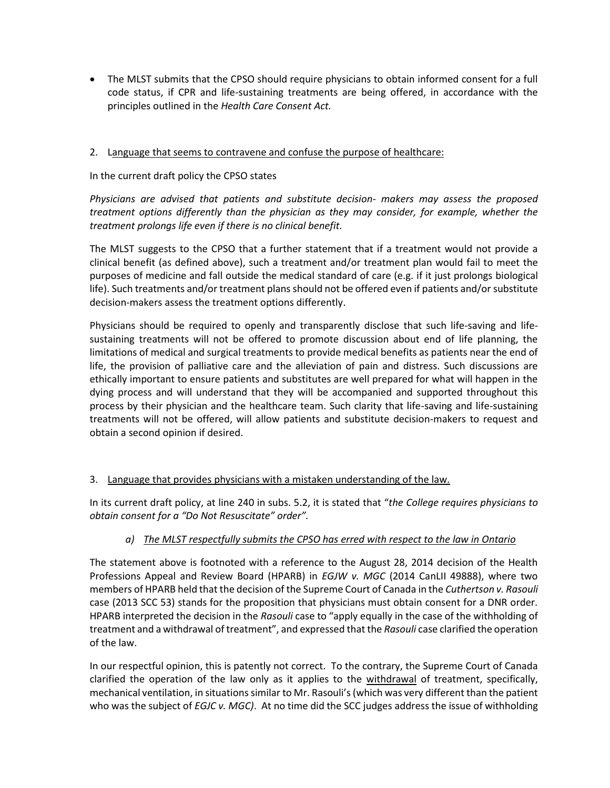The MLST submits that the CPSO should require physicians to obtain informed consent for a full code status, if CPR and life-sustaining treatments are being offered, in accordance with the principles outlined in the *Health Care Consent Act.* 

#### 2. Language that seems to contravene and confuse the purpose of healthcare:

#### In the current draft policy the CPSO states

*Physicians are advised that patients and substitute decision- makers may assess the proposed treatment options differently than the physician as they may consider, for example, whether the treatment prolongs life even if there is no clinical benefit.*

The MLST suggests to the CPSO that a further statement that if a treatment would not provide a clinical benefit (as defined above), such a treatment and/or treatment plan would fail to meet the purposes of medicine and fall outside the medical standard of care (e.g. if it just prolongs biological life). Such treatments and/or treatment plans should not be offered even if patients and/or substitute decision-makers assess the treatment options differently.

Physicians should be required to openly and transparently disclose that such life-saving and lifesustaining treatments will not be offered to promote discussion about end of life planning, the limitations of medical and surgical treatments to provide medical benefits as patients near the end of life, the provision of palliative care and the alleviation of pain and distress. Such discussions are ethically important to ensure patients and substitutes are well prepared for what will happen in the dying process and will understand that they will be accompanied and supported throughout this process by their physician and the healthcare team. Such clarity that life-saving and life-sustaining treatments will not be offered, will allow patients and substitute decision-makers to request and obtain a second opinion if desired.

#### 3. Language that provides physicians with a mistaken understanding of the law.

In its current draft policy, at line 240 in subs. 5.2, it is stated that "*the College requires physicians to obtain consent for a "Do Not Resuscitate" order".*

### *a) The MLST respectfully submits the CPSO has erred with respect to the law in Ontario*

The statement above is footnoted with a reference to the August 28, 2014 decision of the Health Professions Appeal and Review Board (HPARB) in *EGJW v. MGC* (2014 CanLII 49888), where two members of HPARB held that the decision of the Supreme Court of Canada in the *Cuthertson v. Rasouli* case (2013 SCC 53) stands for the proposition that physicians must obtain consent for a DNR order. HPARB interpreted the decision in the *Rasouli* case to "apply equally in the case of the withholding of treatment and a withdrawal of treatment", and expressed that the *Rasouli* case clarified the operation of the law.

In our respectful opinion, this is patently not correct. To the contrary, the Supreme Court of Canada clarified the operation of the law only as it applies to the withdrawal of treatment, specifically, mechanical ventilation, in situations similar to Mr. Rasouli's (which was very different than the patient who was the subject of *EGJC v. MGC)*. At no time did the SCC judges address the issue of withholding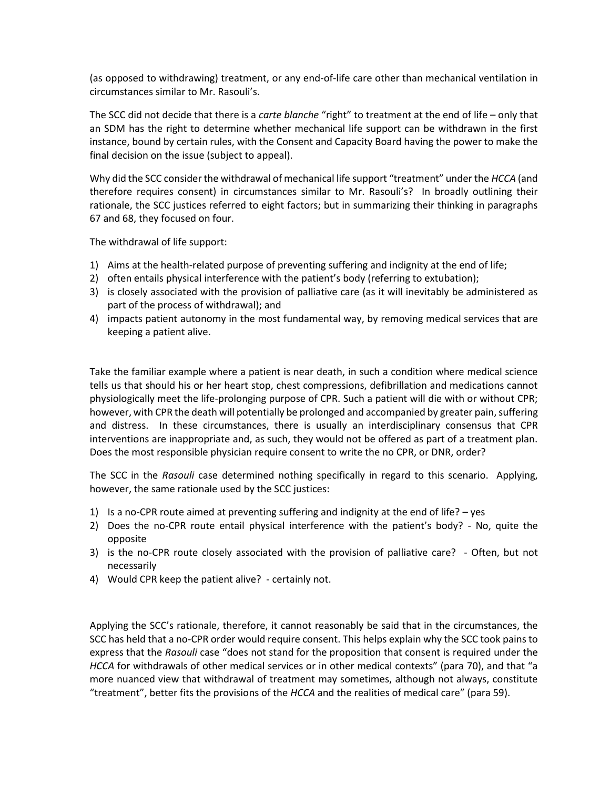(as opposed to withdrawing) treatment, or any end-of-life care other than mechanical ventilation in circumstances similar to Mr. Rasouli's.

The SCC did not decide that there is a *carte blanche* "right" to treatment at the end of life – only that an SDM has the right to determine whether mechanical life support can be withdrawn in the first instance, bound by certain rules, with the Consent and Capacity Board having the power to make the final decision on the issue (subject to appeal).

Why did the SCC consider the withdrawal of mechanical life support "treatment" under the *HCCA* (and therefore requires consent) in circumstances similar to Mr. Rasouli's? In broadly outlining their rationale, the SCC justices referred to eight factors; but in summarizing their thinking in paragraphs 67 and 68, they focused on four.

The withdrawal of life support:

- 1) Aims at the health-related purpose of preventing suffering and indignity at the end of life;
- 2) often entails physical interference with the patient's body (referring to extubation);
- 3) is closely associated with the provision of palliative care (as it will inevitably be administered as part of the process of withdrawal); and
- 4) impacts patient autonomy in the most fundamental way, by removing medical services that are keeping a patient alive.

Take the familiar example where a patient is near death, in such a condition where medical science tells us that should his or her heart stop, chest compressions, defibrillation and medications cannot physiologically meet the life-prolonging purpose of CPR. Such a patient will die with or without CPR; however, with CPR the death will potentially be prolonged and accompanied by greater pain, suffering and distress. In these circumstances, there is usually an interdisciplinary consensus that CPR interventions are inappropriate and, as such, they would not be offered as part of a treatment plan. Does the most responsible physician require consent to write the no CPR, or DNR, order?

The SCC in the *Rasouli* case determined nothing specifically in regard to this scenario. Applying, however, the same rationale used by the SCC justices:

- 1) Is a no-CPR route aimed at preventing suffering and indignity at the end of life? yes
- 2) Does the no-CPR route entail physical interference with the patient's body? No, quite the opposite
- 3) is the no-CPR route closely associated with the provision of palliative care? Often, but not necessarily
- 4) Would CPR keep the patient alive? certainly not.

Applying the SCC's rationale, therefore, it cannot reasonably be said that in the circumstances, the SCC has held that a no-CPR order would require consent. This helps explain why the SCC took pains to express that the *Rasouli* case "does not stand for the proposition that consent is required under the *HCCA* for withdrawals of other medical services or in other medical contexts" (para 70), and that "a more nuanced view that withdrawal of treatment may sometimes, although not always, constitute "treatment", better fits the provisions of the *HCCA* and the realities of medical care" (para 59).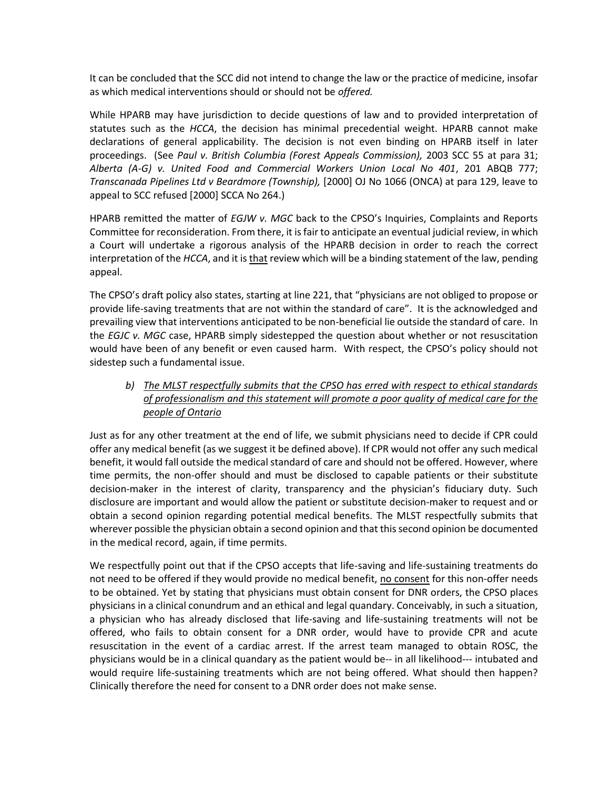It can be concluded that the SCC did not intend to change the law or the practice of medicine, insofar as which medical interventions should or should not be *offered.*

While HPARB may have jurisdiction to decide questions of law and to provided interpretation of statutes such as the *HCCA*, the decision has minimal precedential weight. HPARB cannot make declarations of general applicability. The decision is not even binding on HPARB itself in later proceedings. (See *Paul v. British Columbia (Forest Appeals Commission),* 2003 SCC 55 at para 31; *Alberta (A-G) v. United Food and Commercial Workers Union Local No 401*, 201 ABQB 777; *Transcanada Pipelines Ltd v Beardmore (Township),* [2000] OJ No 1066 (ONCA) at para 129, leave to appeal to SCC refused [2000] SCCA No 264.)

HPARB remitted the matter of *EGJW v. MGC* back to the CPSO's Inquiries, Complaints and Reports Committee for reconsideration. From there, it is fair to anticipate an eventual judicial review, in which a Court will undertake a rigorous analysis of the HPARB decision in order to reach the correct interpretation of the *HCCA*, and it is that review which will be a binding statement of the law, pending appeal.

The CPSO's draft policy also states, starting at line 221, that "physicians are not obliged to propose or provide life-saving treatments that are not within the standard of care". It is the acknowledged and prevailing view that interventions anticipated to be non-beneficial lie outside the standard of care. In the *EGJC v. MGC* case, HPARB simply sidestepped the question about whether or not resuscitation would have been of any benefit or even caused harm. With respect, the CPSO's policy should not sidestep such a fundamental issue.

#### *b) The MLST respectfully submits that the CPSO has erred with respect to ethical standards of professionalism and this statement will promote a poor quality of medical care for the people of Ontario*

Just as for any other treatment at the end of life, we submit physicians need to decide if CPR could offer any medical benefit (as we suggest it be defined above). If CPR would not offer any such medical benefit, it would fall outside the medical standard of care and should not be offered. However, where time permits, the non-offer should and must be disclosed to capable patients or their substitute decision-maker in the interest of clarity, transparency and the physician's fiduciary duty. Such disclosure are important and would allow the patient or substitute decision-maker to request and or obtain a second opinion regarding potential medical benefits. The MLST respectfully submits that wherever possible the physician obtain a second opinion and that this second opinion be documented in the medical record, again, if time permits.

We respectfully point out that if the CPSO accepts that life-saving and life-sustaining treatments do not need to be offered if they would provide no medical benefit, no consent for this non-offer needs to be obtained. Yet by stating that physicians must obtain consent for DNR orders, the CPSO places physicians in a clinical conundrum and an ethical and legal quandary. Conceivably, in such a situation, a physician who has already disclosed that life-saving and life-sustaining treatments will not be offered, who fails to obtain consent for a DNR order, would have to provide CPR and acute resuscitation in the event of a cardiac arrest. If the arrest team managed to obtain ROSC, the physicians would be in a clinical quandary as the patient would be-- in all likelihood--- intubated and would require life-sustaining treatments which are not being offered. What should then happen? Clinically therefore the need for consent to a DNR order does not make sense.